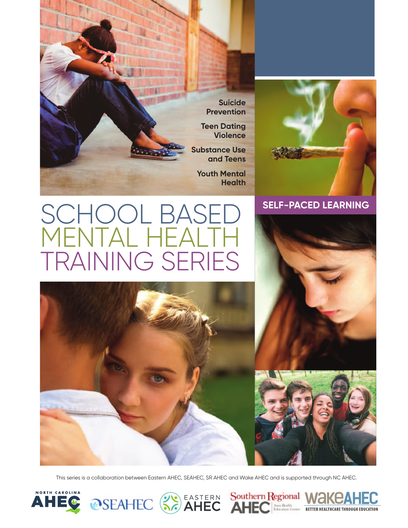



# **SELF-PACED LEARNING**

# SCHOOL BASE<br>MFNTAL HFALT MENTAL HEALTH TRAINING SERIES



This series is a collaboration between Eastern AHEC, SEAHEC, SR AHEC and Wake AHEC and is supported through NC AHEC.





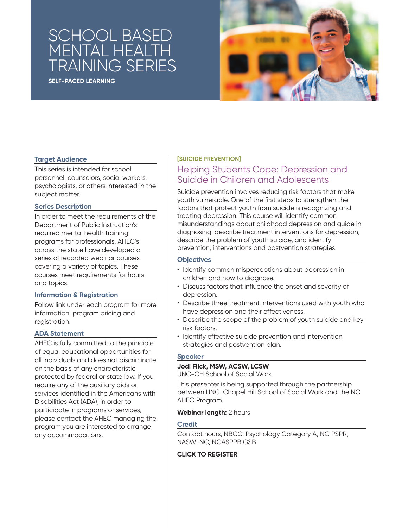# SCHOOL BASED MENTAL HEALTH TRAINING SERIES

**SELF-PACED LEARNING**



#### **Target Audience**

This series is intended for school personnel, counselors, social workers, psychologists, or others interested in the subject matter.

#### **Series Description**

In order to meet the requirements of the Department of Public Instruction's required mental health training programs for professionals, AHEC's across the state have developed a series of recorded webinar courses covering a variety of topics. These courses meet requirements for hours and topics.

#### **Information & Registration**

Follow link under each program for more information, program pricing and registration.

#### **ADA Statement**

AHEC is fully committed to the principle of equal educational opportunities for all individuals and does not discriminate on the basis of any characteristic protected by federal or state law. If you require any of the auxiliary aids or services identified in the Americans with Disabilities Act (ADA), in order to participate in programs or services, please contact the AHEC managing the program you are interested to arrange any accommodations.

#### **[SUICIDE PREVENTION]**

# Helping Students Cope: Depression and Suicide in Children and Adolescents

Suicide prevention involves reducing risk factors that make youth vulnerable. One of the first steps to strengthen the factors that protect youth from suicide is recognizing and treating depression. This course will identify common misunderstandings about childhood depression and guide in diagnosing, describe treatment interventions for depression, describe the problem of youth suicide, and identify prevention, interventions and postvention strategies.

#### **Objectives**

- Identify common misperceptions about depression in children and how to diagnose.
- Discuss factors that influence the onset and severity of depression.
- Describe three treatment interventions used with youth who have depression and their effectiveness.
- Describe the scope of the problem of youth suicide and key risk factors.
- Identify effective suicide prevention and intervention strategies and postvention plan.

#### **Speaker**

#### **Jodi Flick, MSW, ACSW, LCSW**

UNC-CH School of Social Work

This presenter is being supported through the partnership between UNC-Chapel Hill School of Social Work and the NC AHEC Program.

#### **Webinar length:** 2 hours

#### **Credit**

Contact hours, NBCC, Psychology Category A, NC PSPR, NASW-NC, NCASPPB GSB

#### **[CLICK TO REGISTER](https://www.easternahec.net/courses-and-events/59508)**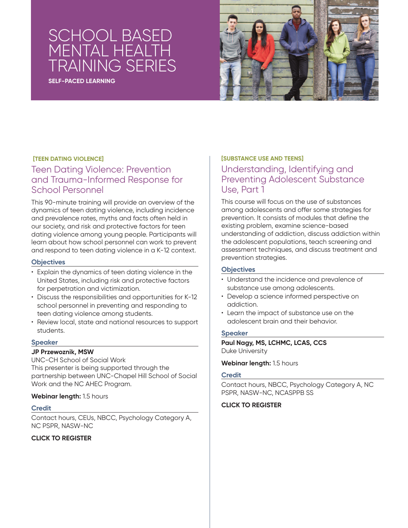# <u>SCHOOL</u> BASE MENTAL HEALTH TRAINING SERIES

**SELF-PACED LEARNING**



#### **[TEEN DATING VIOLENCE]**

### Teen Dating Violence: Prevention and Trauma-Informed Response for School Personnel

This 90-minute training will provide an overview of the dynamics of teen dating violence, including incidence and prevalence rates, myths and facts often held in our society, and risk and protective factors for teen dating violence among young people. Participants will learn about how school personnel can work to prevent and respond to teen dating violence in a K-12 context.

#### **Objectives**

- Explain the dynamics of teen dating violence in the United States, including risk and protective factors for perpetration and victimization.
- Discuss the responsibilities and opportunities for K-12 school personnel in preventing and responding to teen dating violence among students.
- Review local, state and national resources to support students.

#### **Speaker**

#### **JP Przewoznik, MSW**

UNC-CH School of Social Work This presenter is being supported through the partnership between UNC-Chapel Hill School of Social Work and the NC AHEC Program.

#### **Webinar length:** 1.5 hours

#### **Credit**

Contact hours, CEUs, NBCC, Psychology Category A, NC PSPR, NASW-NC

#### **[CLICK TO REGISTER](https://www.wakeahec.org/courses-and-events/66219)**

#### **[SUBSTANCE USE AND TEENS]**

## Understanding, Identifying and Preventing Adolescent Substance Use, Part 1

This course will focus on the use of substances among adolescents and offer some strategies for prevention. It consists of modules that define the existing problem, examine science-based understanding of addiction, discuss addiction within the adolescent populations, teach screening and assessment techniques, and discuss treatment and prevention strategies.

#### **Objectives**

- Understand the incidence and prevalence of substance use among adolescents.
- Develop a science informed perspective on addiction.
- Learn the impact of substance use on the adolescent brain and their behavior.

#### **Speaker**

**Paul Nagy, MS, LCHMC, LCAS, CCS**  Duke University

#### **Webinar length:** 1.5 hours

#### **Credit**

Contact hours, NBCC, Psychology Category A, NC PSPR, NASW-NC, NCASPPB SS

#### **[CLICK TO REGISTER](https://www.easternahec.net/courses-and-events/59507)**